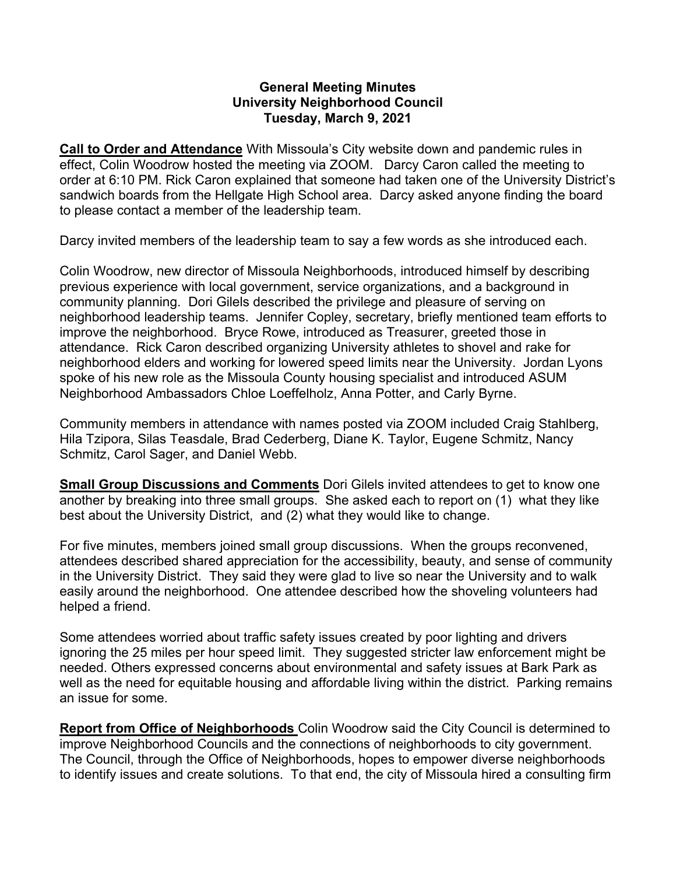## **General Meeting Minutes University Neighborhood Council Tuesday, March 9, 2021**

**Call to Order and Attendance** With Missoula's City website down and pandemic rules in effect, Colin Woodrow hosted the meeting via ZOOM. Darcy Caron called the meeting to order at 6:10 PM. Rick Caron explained that someone had taken one of the University District's sandwich boards from the Hellgate High School area. Darcy asked anyone finding the board to please contact a member of the leadership team.

Darcy invited members of the leadership team to say a few words as she introduced each.

Colin Woodrow, new director of Missoula Neighborhoods, introduced himself by describing previous experience with local government, service organizations, and a background in community planning. Dori Gilels described the privilege and pleasure of serving on neighborhood leadership teams. Jennifer Copley, secretary, briefly mentioned team efforts to improve the neighborhood. Bryce Rowe, introduced as Treasurer, greeted those in attendance. Rick Caron described organizing University athletes to shovel and rake for neighborhood elders and working for lowered speed limits near the University. Jordan Lyons spoke of his new role as the Missoula County housing specialist and introduced ASUM Neighborhood Ambassadors Chloe Loeffelholz, Anna Potter, and Carly Byrne.

Community members in attendance with names posted via ZOOM included Craig Stahlberg, Hila Tzipora, Silas Teasdale, Brad Cederberg, Diane K. Taylor, Eugene Schmitz, Nancy Schmitz, Carol Sager, and Daniel Webb.

**Small Group Discussions and Comments** Dori Gilels invited attendees to get to know one another by breaking into three small groups. She asked each to report on (1) what they like best about the University District, and (2) what they would like to change.

For five minutes, members joined small group discussions. When the groups reconvened, attendees described shared appreciation for the accessibility, beauty, and sense of community in the University District. They said they were glad to live so near the University and to walk easily around the neighborhood. One attendee described how the shoveling volunteers had helped a friend.

Some attendees worried about traffic safety issues created by poor lighting and drivers ignoring the 25 miles per hour speed limit. They suggested stricter law enforcement might be needed. Others expressed concerns about environmental and safety issues at Bark Park as well as the need for equitable housing and affordable living within the district. Parking remains an issue for some.

**Report from Office of Neighborhoods** Colin Woodrow said the City Council is determined to improve Neighborhood Councils and the connections of neighborhoods to city government. The Council, through the Office of Neighborhoods, hopes to empower diverse neighborhoods to identify issues and create solutions. To that end, the city of Missoula hired a consulting firm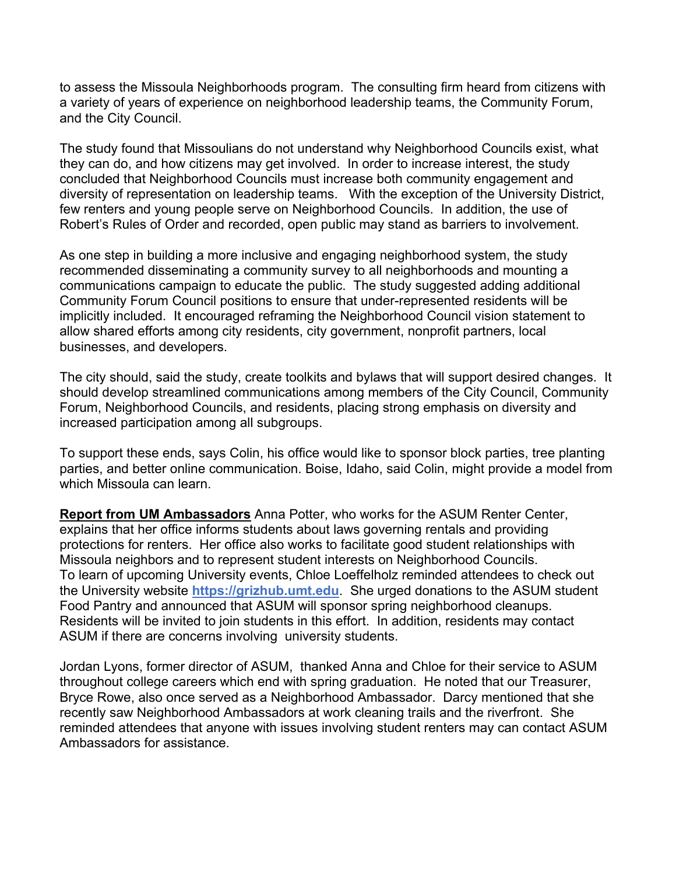to assess the Missoula Neighborhoods program. The consulting firm heard from citizens with a variety of years of experience on neighborhood leadership teams, the Community Forum, and the City Council.

The study found that Missoulians do not understand why Neighborhood Councils exist, what they can do, and how citizens may get involved. In order to increase interest, the study concluded that Neighborhood Councils must increase both community engagement and diversity of representation on leadership teams. With the exception of the University District, few renters and young people serve on Neighborhood Councils. In addition, the use of Robert's Rules of Order and recorded, open public may stand as barriers to involvement.

As one step in building a more inclusive and engaging neighborhood system, the study recommended disseminating a community survey to all neighborhoods and mounting a communications campaign to educate the public. The study suggested adding additional Community Forum Council positions to ensure that under-represented residents will be implicitly included. It encouraged reframing the Neighborhood Council vision statement to allow shared efforts among city residents, city government, nonprofit partners, local businesses, and developers.

The city should, said the study, create toolkits and bylaws that will support desired changes. It should develop streamlined communications among members of the City Council, Community Forum, Neighborhood Councils, and residents, placing strong emphasis on diversity and increased participation among all subgroups.

To support these ends, says Colin, his office would like to sponsor block parties, tree planting parties, and better online communication. Boise, Idaho, said Colin, might provide a model from which Missoula can learn.

**Report from UM Ambassadors** Anna Potter, who works for the ASUM Renter Center, explains that her office informs students about laws governing rentals and providing protections for renters. Her office also works to facilitate good student relationships with Missoula neighbors and to represent student interests on Neighborhood Councils. To learn of upcoming University events, Chloe Loeffelholz reminded attendees to check out the University website **[https://grizhub.umt.edu](https://grizhub.umt.edu/)**. She urged donations to the ASUM student Food Pantry and announced that ASUM will sponsor spring neighborhood cleanups. Residents will be invited to join students in this effort. In addition, residents may contact ASUM if there are concerns involving university students.

Jordan Lyons, former director of ASUM, thanked Anna and Chloe for their service to ASUM throughout college careers which end with spring graduation. He noted that our Treasurer, Bryce Rowe, also once served as a Neighborhood Ambassador. Darcy mentioned that she recently saw Neighborhood Ambassadors at work cleaning trails and the riverfront. She reminded attendees that anyone with issues involving student renters may can contact ASUM Ambassadors for assistance.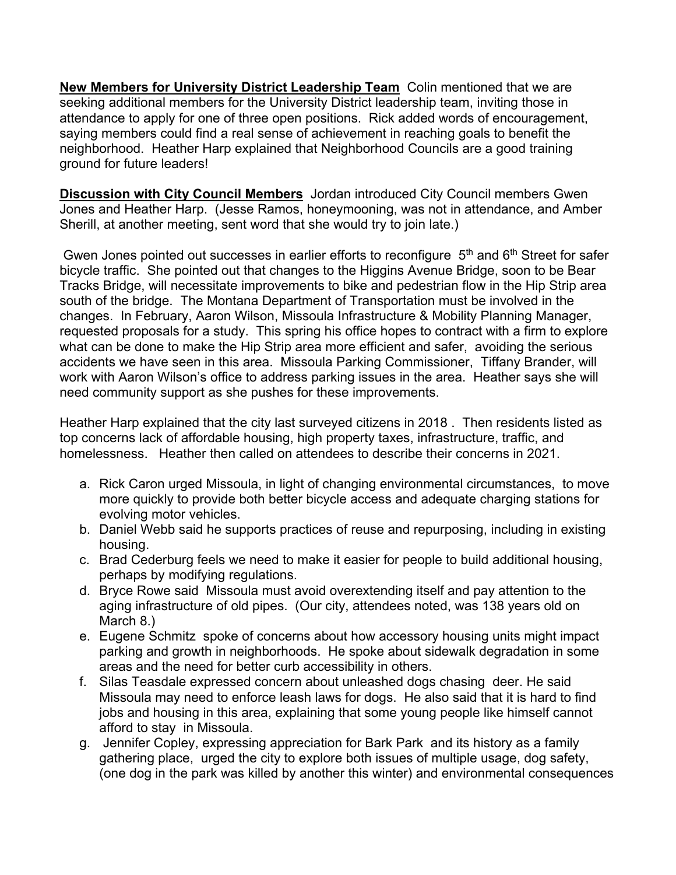**New Members for University District Leadership Team** Colin mentioned that we are seeking additional members for the University District leadership team, inviting those in attendance to apply for one of three open positions. Rick added words of encouragement, saying members could find a real sense of achievement in reaching goals to benefit the neighborhood. Heather Harp explained that Neighborhood Councils are a good training ground for future leaders!

**Discussion with City Council Members** Jordan introduced City Council members Gwen Jones and Heather Harp. (Jesse Ramos, honeymooning, was not in attendance, and Amber Sherill, at another meeting, sent word that she would try to join late.)

Gwen Jones pointed out successes in earlier efforts to reconfigure 5<sup>th</sup> and 6<sup>th</sup> Street for safer bicycle traffic. She pointed out that changes to the Higgins Avenue Bridge, soon to be Bear Tracks Bridge, will necessitate improvements to bike and pedestrian flow in the Hip Strip area south of the bridge. The Montana Department of Transportation must be involved in the changes. In February, Aaron Wilson, Missoula Infrastructure & Mobility Planning Manager, requested proposals for a study. This spring his office hopes to contract with a firm to explore what can be done to make the Hip Strip area more efficient and safer, avoiding the serious accidents we have seen in this area. Missoula Parking Commissioner, Tiffany Brander, will work with Aaron Wilson's office to address parking issues in the area. Heather says she will need community support as she pushes for these improvements.

Heather Harp explained that the city last surveyed citizens in 2018 . Then residents listed as top concerns lack of affordable housing, high property taxes, infrastructure, traffic, and homelessness. Heather then called on attendees to describe their concerns in 2021.

- a. Rick Caron urged Missoula, in light of changing environmental circumstances, to move more quickly to provide both better bicycle access and adequate charging stations for evolving motor vehicles.
- b. Daniel Webb said he supports practices of reuse and repurposing, including in existing housing.
- c. Brad Cederburg feels we need to make it easier for people to build additional housing, perhaps by modifying regulations.
- d. Bryce Rowe said Missoula must avoid overextending itself and pay attention to the aging infrastructure of old pipes. (Our city, attendees noted, was 138 years old on March 8.)
- e. Eugene Schmitz spoke of concerns about how accessory housing units might impact parking and growth in neighborhoods. He spoke about sidewalk degradation in some areas and the need for better curb accessibility in others.
- f. Silas Teasdale expressed concern about unleashed dogs chasing deer. He said Missoula may need to enforce leash laws for dogs. He also said that it is hard to find jobs and housing in this area, explaining that some young people like himself cannot afford to stay in Missoula.
- g. Jennifer Copley, expressing appreciation for Bark Park and its history as a family gathering place, urged the city to explore both issues of multiple usage, dog safety, (one dog in the park was killed by another this winter) and environmental consequences